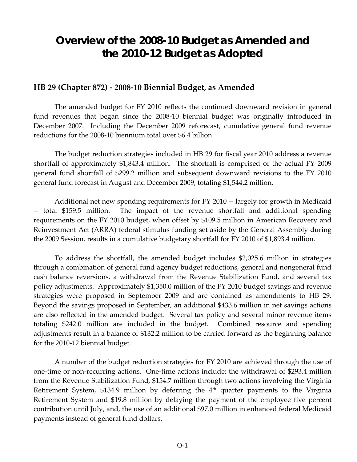### **Overview of the 2008-10 Budget as Amended and the 2010-12 Budget as Adopted**

#### **HB 29 (Chapter 872) ‐ 2008‐10 Biennial Budget, as Amended**

The amended budget for FY 2010 reflects the continued downward revision in general fund revenues that began since the 2008‐10 biennial budget was originally introduced in December 2007. Including the December 2009 reforecast, cumulative general fund revenue reductions for the 2008‐10 biennium total over \$6.4 billion.

The budget reduction strategies included in HB 29 for fiscal year 2010 address a revenue shortfall of approximately \$1,843.4 million. The shortfall is comprised of the actual FY 2009 general fund shortfall of \$299.2 million and subsequent downward revisions to the FY 2010 general fund forecast in August and December 2009, totaling \$1,544.2 million.

Additional net new spending requirements for FY 2010 ‐‐ largely for growth in Medicaid ‐‐ total \$159.5 million. The impact of the revenue shortfall and additional spending requirements on the FY 2010 budget, when offset by \$109.5 million in American Recovery and Reinvestment Act (ARRA) federal stimulus funding set aside by the General Assembly during the 2009 Session, results in a cumulative budgetary shortfall for FY 2010 of \$1,893.4 million.

To address the shortfall, the amended budget includes \$2,025.6 million in strategies through a combination of general fund agency budget reductions, general and nongeneral fund cash balance reversions, a withdrawal from the Revenue Stabilization Fund, and several tax policy adjustments. Approximately \$1,350.0 million of the FY 2010 budget savings and revenue strategies were proposed in September 2009 and are contained as amendments to HB 29. Beyond the savings proposed in September, an additional \$433.6 million in net savings actions are also reflected in the amended budget. Several tax policy and several minor revenue items totaling \$242.0 million are included in the budget. Combined resource and spending adjustments result in a balance of \$132.2 million to be carried forward as the beginning balance for the 2010‐12 biennial budget.

A number of the budget reduction strategies for FY 2010 are achieved through the use of one‐time or non‐recurring actions. One‐time actions include: the withdrawal of \$293.4 million from the Revenue Stabilization Fund, \$154.7 million through two actions involving the Virginia Retirement System, \$134.9 million by deferring the  $4<sup>th</sup>$  quarter payments to the Virginia Retirement System and \$19.8 million by delaying the payment of the employee five percent contribution until July, and, the use of an additional \$97.0 million in enhanced federal Medicaid payments instead of general fund dollars.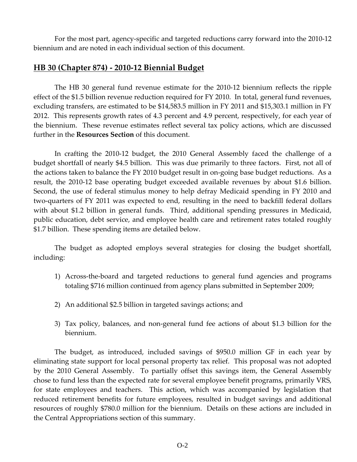For the most part, agency-specific and targeted reductions carry forward into the 2010-12 biennium and are noted in each individual section of this document.

#### **HB 30 (Chapter 874) ‐ 2010‐12 Biennial Budget**

The HB 30 general fund revenue estimate for the 2010‐12 biennium reflects the ripple effect of the \$1.5 billion revenue reduction required for FY 2010. In total, general fund revenues, excluding transfers, are estimated to be \$14,583.5 million in FY 2011 and \$15,303.1 million in FY 2012. This represents growth rates of 4.3 percent and 4.9 percent, respectively, for each year of the biennium. These revenue estimates reflect several tax policy actions, which are discussed further in the **Resources Section** of this document.

In crafting the 2010‐12 budget, the 2010 General Assembly faced the challenge of a budget shortfall of nearly \$4.5 billion. This was due primarily to three factors. First, not all of the actions taken to balance the FY 2010 budget result in on‐going base budget reductions. As a result, the 2010‐12 base operating budget exceeded available revenues by about \$1.6 billion. Second, the use of federal stimulus money to help defray Medicaid spending in FY 2010 and two-quarters of FY 2011 was expected to end, resulting in the need to backfill federal dollars with about \$1.2 billion in general funds. Third, additional spending pressures in Medicaid, public education, debt service, and employee health care and retirement rates totaled roughly \$1.7 billion. These spending items are detailed below.

The budget as adopted employs several strategies for closing the budget shortfall, including:

- 1) Across‐the‐board and targeted reductions to general fund agencies and programs totaling \$716 million continued from agency plans submitted in September 2009;
- 2) An additional \$2.5 billion in targeted savings actions; and
- 3) Tax policy, balances, and non‐general fund fee actions of about \$1.3 billion for the biennium.

The budget, as introduced, included savings of \$950.0 million GF in each year by eliminating state support for local personal property tax relief. This proposal was not adopted by the 2010 General Assembly. To partially offset this savings item, the General Assembly chose to fund less than the expected rate for several employee benefit programs, primarily VRS, for state employees and teachers. This action, which was accompanied by legislation that reduced retirement benefits for future employees, resulted in budget savings and additional resources of roughly \$780.0 million for the biennium. Details on these actions are included in the Central Appropriations section of this summary.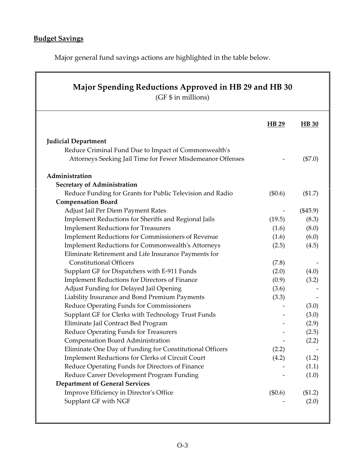### **Budget Savings**

Major general fund savings actions are highlighted in the table below.

| Major Spending Reductions Approved in HB 29 and HB 30<br>(GF \$ in millions) |         |              |
|------------------------------------------------------------------------------|---------|--------------|
|                                                                              | HB 29   | <b>HB</b> 30 |
| <b>Judicial Department</b>                                                   |         |              |
| Reduce Criminal Fund Due to Impact of Commonwealth's                         |         |              |
| Attorneys Seeking Jail Time for Fewer Misdemeanor Offenses                   |         | (\$7.0)      |
| Administration                                                               |         |              |
| <b>Secretary of Administration</b>                                           |         |              |
| Reduce Funding for Grants for Public Television and Radio                    | (\$0.6) | (\$1.7)      |
| <b>Compensation Board</b>                                                    |         |              |
| Adjust Jail Per Diem Payment Rates                                           |         | $(\$45.9)$   |
| Implement Reductions for Sheriffs and Regional Jails                         | (19.5)  | (8.3)        |
| <b>Implement Reductions for Treasurers</b>                                   | (1.6)   | (8.0)        |
| <b>Implement Reductions for Commissioners of Revenue</b>                     | (1.6)   | (6.0)        |
| <b>Implement Reductions for Commonwealth's Attorneys</b>                     | (2.5)   | (4.5)        |
| Eliminate Retirement and Life Insurance Payments for                         |         |              |
| <b>Constitutional Officers</b>                                               | (7.8)   |              |
| Supplant GF for Dispatchers with E-911 Funds                                 | (2.0)   | (4.0)        |
| <b>Implement Reductions for Directors of Finance</b>                         | (0.9)   | (3.2)        |
| Adjust Funding for Delayed Jail Opening                                      | (3.6)   |              |
| Liability Insurance and Bond Premium Payments                                | (3.3)   |              |
| Reduce Operating Funds for Commissioners                                     |         | (3.0)        |
| Supplant GF for Clerks with Technology Trust Funds                           |         | (3.0)        |
| Eliminate Jail Contract Bed Program                                          |         | (2.9)        |
| Reduce Operating Funds for Treasurers                                        |         | (2.5)        |
| Compensation Board Administration                                            |         | (2.2)        |
| Eliminate One Day of Funding for Constitutional Officers                     | (2.2)   |              |
| Implement Reductions for Clerks of Circuit Court                             | (4.2)   | (1.2)        |
| Reduce Operating Funds for Directors of Finance                              |         | (1.1)        |
| Reduce Career Development Program Funding                                    |         | (1.0)        |
| <b>Department of General Services</b>                                        |         |              |
| Improve Efficiency in Director's Office                                      | (\$0.6) | (\$1.2)      |
| Supplant GF with NGF                                                         |         | (2.0)        |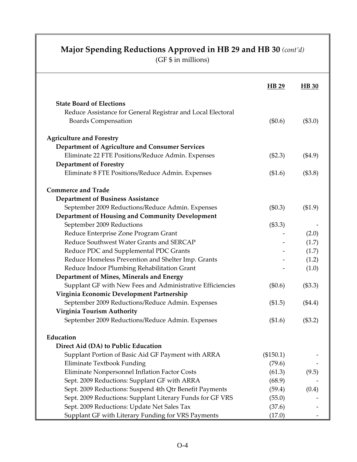|                                                             | <b>HB</b> 29 | <b>HB</b> 30 |
|-------------------------------------------------------------|--------------|--------------|
| <b>State Board of Elections</b>                             |              |              |
| Reduce Assistance for General Registrar and Local Electoral |              |              |
| <b>Boards Compensation</b>                                  | (\$0.6)      | (\$3.0)      |
|                                                             |              |              |
| <b>Agriculture and Forestry</b>                             |              |              |
| Department of Agriculture and Consumer Services             |              |              |
| Eliminate 22 FTE Positions/Reduce Admin. Expenses           | (\$2.3)      | $(\$4.9)$    |
| <b>Department of Forestry</b>                               |              |              |
| Eliminate 8 FTE Positions/Reduce Admin. Expenses            | (\$1.6)      | (\$3.8)      |
| <b>Commerce and Trade</b>                                   |              |              |
| <b>Department of Business Assistance</b>                    |              |              |
| September 2009 Reductions/Reduce Admin. Expenses            | $(\$0.3)$    | (\$1.9)      |
| Department of Housing and Community Development             |              |              |
| September 2009 Reductions                                   | (\$3.3)      |              |
| Reduce Enterprise Zone Program Grant                        |              | (2.0)        |
| Reduce Southwest Water Grants and SERCAP                    |              | (1.7)        |
| Reduce PDC and Supplemental PDC Grants                      |              | (1.7)        |
| Reduce Homeless Prevention and Shelter Imp. Grants          |              | (1.2)        |
| Reduce Indoor Plumbing Rehabilitation Grant                 |              | (1.0)        |
| Department of Mines, Minerals and Energy                    |              |              |
| Supplant GF with New Fees and Administrative Efficiencies   | $(\$0.6)$    | (\$3.3)      |
| Virginia Economic Development Partnership                   |              |              |
| September 2009 Reductions/Reduce Admin. Expenses            | (\$1.5)      | $(\$4.4)$    |
| Virginia Tourism Authority                                  |              |              |
| September 2009 Reductions/Reduce Admin. Expenses            | (\$1.6)      | (\$3.2)      |
| Education                                                   |              |              |
| Direct Aid (DA) to Public Education                         |              |              |
| Supplant Portion of Basic Aid GF Payment with ARRA          | (\$150.1)    |              |
| Eliminate Textbook Funding                                  | (79.6)       |              |
| Eliminate Nonpersonnel Inflation Factor Costs               | (61.3)       | (9.5)        |
| Sept. 2009 Reductions: Supplant GF with ARRA                | (68.9)       |              |
| Sept. 2009 Reductions: Suspend 4th Qtr Benefit Payments     | (59.4)       | (0.4)        |
| Sept. 2009 Reductions: Supplant Literary Funds for GF VRS   | (55.0)       |              |
| Sept. 2009 Reductions: Update Net Sales Tax                 | (37.6)       |              |
| Supplant GF with Literary Funding for VRS Payments          | (17.0)       |              |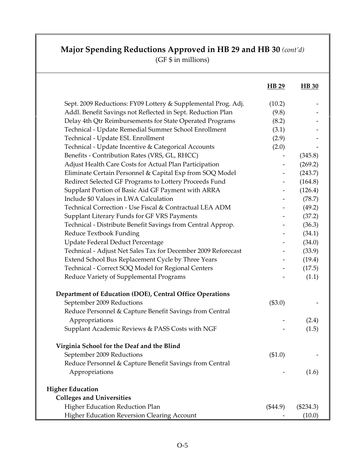|                                                                                                                              | HB 29           | <b>HB</b> 30 |
|------------------------------------------------------------------------------------------------------------------------------|-----------------|--------------|
|                                                                                                                              |                 |              |
| Sept. 2009 Reductions: FY09 Lottery & Supplemental Prog. Adj.<br>Addl. Benefit Savings not Reflected in Sept. Reduction Plan | (10.2)<br>(9.8) |              |
| Delay 4th Qtr Reimbursements for State Operated Programs                                                                     | (8.2)           |              |
| Technical - Update Remedial Summer School Enrollment                                                                         | (3.1)           |              |
| Technical - Update ESL Enrollment                                                                                            |                 |              |
|                                                                                                                              | (2.9)<br>(2.0)  |              |
| Technical - Update Incentive & Categorical Accounts<br>Benefits - Contribution Rates (VRS, GL, RHCC)                         |                 |              |
| Adjust Health Care Costs for Actual Plan Participation                                                                       |                 | (345.8)      |
|                                                                                                                              |                 | (269.2)      |
| Eliminate Certain Personnel & Capital Exp from SOQ Model                                                                     |                 | (243.7)      |
| Redirect Selected GF Programs to Lottery Proceeds Fund                                                                       |                 | (164.8)      |
| Supplant Portion of Basic Aid GF Payment with ARRA<br>Include \$0 Values in LWA Calculation                                  |                 | (126.4)      |
| Technical Correction - Use Fiscal & Contractual LEA ADM                                                                      |                 | (78.7)       |
|                                                                                                                              |                 | (49.2)       |
| Supplant Literary Funds for GF VRS Payments                                                                                  |                 | (37.2)       |
| Technical - Distribute Benefit Savings from Central Approp.                                                                  |                 | (36.3)       |
| Reduce Textbook Funding                                                                                                      |                 | (34.1)       |
| Update Federal Deduct Percentage                                                                                             |                 | (34.0)       |
| Technical - Adjust Net Sales Tax for December 2009 Reforecast                                                                |                 | (33.9)       |
| Extend School Bus Replacement Cycle by Three Years                                                                           |                 | (19.4)       |
| Technical - Correct SOQ Model for Regional Centers                                                                           |                 | (17.5)       |
| Reduce Variety of Supplemental Programs                                                                                      |                 | (1.1)        |
| Department of Education (DOE), Central Office Operations                                                                     |                 |              |
| September 2009 Reductions                                                                                                    | (\$3.0)         |              |
| Reduce Personnel & Capture Benefit Savings from Central                                                                      |                 |              |
| Appropriations                                                                                                               |                 | (2.4)        |
| Supplant Academic Reviews & PASS Costs with NGF                                                                              |                 | (1.5)        |
| Virginia School for the Deaf and the Blind                                                                                   |                 |              |
| September 2009 Reductions                                                                                                    | (\$1.0)         |              |
| Reduce Personnel & Capture Benefit Savings from Central                                                                      |                 |              |
| Appropriations                                                                                                               |                 | (1.6)        |
|                                                                                                                              |                 |              |
| <b>Higher Education</b>                                                                                                      |                 |              |
| <b>Colleges and Universities</b>                                                                                             |                 |              |
| Higher Education Reduction Plan                                                                                              | $(\$44.9)$      | $(\$234.3)$  |
| <b>Higher Education Reversion Clearing Account</b>                                                                           |                 | (10.0)       |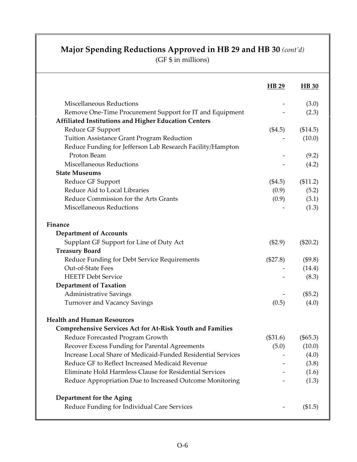|                                                                  | <b>HB</b> 29 | <b>HB</b> 30 |
|------------------------------------------------------------------|--------------|--------------|
| Miscellaneous Reductions                                         |              | (3.0)        |
| Remove One-Time Procurement Support for IT and Equipment         |              | (2.3)        |
| <b>Affiliated Institutions and Higher Education Centers</b>      |              |              |
| Reduce GF Support                                                | $(\$4.5)$    | (\$14.5)     |
| Tuition Assistance Grant Program Reduction                       |              | (10.0)       |
| Reduce Funding for Jefferson Lab Research Facility/Hampton       |              |              |
| Proton Beam                                                      |              | (9.2)        |
| Miscellaneous Reductions                                         |              | (4.2)        |
| <b>State Museums</b>                                             |              |              |
| Reduce GF Support                                                | $(\$4.5)$    | (\$11.2)     |
| Reduce Aid to Local Libraries                                    | (0.9)        | (5.2)        |
| Reduce Commission for the Arts Grants                            | (0.9)        | (3.1)        |
| Miscellaneous Reductions                                         |              | (1.3)        |
| Finance                                                          |              |              |
| <b>Department of Accounts</b>                                    |              |              |
| Supplant GF Support for Line of Duty Act                         | $(\$2.9)$    | $(\$20.2)$   |
| <b>Treasury Board</b>                                            |              |              |
| Reduce Funding for Debt Service Requirements                     | (\$27.8)     | (\$9.8)      |
| Out-of-State Fees                                                |              | (14.4)       |
| <b>HEETF Debt Service</b>                                        |              | (8.3)        |
| <b>Department of Taxation</b>                                    |              |              |
| <b>Administrative Savings</b>                                    |              | (\$5.2)      |
| <b>Turnover and Vacancy Savings</b>                              | (0.5)        | (4.0)        |
| <b>Health and Human Resources</b>                                |              |              |
| <b>Comprehensive Services Act for At-Risk Youth and Families</b> |              |              |
| Reduce Forecasted Program Growth                                 | $(\$31.6)$   | (\$65.3)     |
| Recover Excess Funding for Parental Agreements                   | (5.0)        | (10.0)       |
| Increase Local Share of Medicaid-Funded Residential Services     |              | (4.0)        |
| Reduce GF to Reflect Increased Medicaid Revenue                  |              | (3.8)        |
| Eliminate Hold Harmless Clause for Residential Services          |              | (1.6)        |
| Reduce Appropriation Due to Increased Outcome Monitoring         |              | (1.3)        |
| Department for the Aging                                         |              |              |
| Reduce Funding for Individual Care Services                      |              | (\$1.5)      |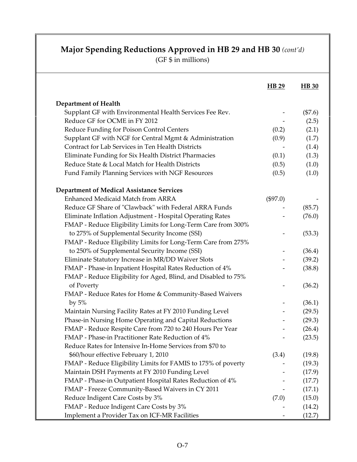|                                                                | HB 29      | <b>HB</b> 30 |
|----------------------------------------------------------------|------------|--------------|
| <b>Department of Health</b>                                    |            |              |
| Supplant GF with Environmental Health Services Fee Rev.        |            | $(\$7.6)$    |
| Reduce GF for OCME in FY 2012                                  |            | (2.5)        |
| Reduce Funding for Poison Control Centers                      | (0.2)      | (2.1)        |
| Supplant GF with NGF for Central Mgmt & Administration         | (0.9)      | (1.7)        |
| Contract for Lab Services in Ten Health Districts              |            | (1.4)        |
| Eliminate Funding for Six Health District Pharmacies           | (0.1)      | (1.3)        |
| Reduce State & Local Match for Health Districts                | (0.5)      | (1.0)        |
| Fund Family Planning Services with NGF Resources               | (0.5)      | (1.0)        |
| <b>Department of Medical Assistance Services</b>               |            |              |
| Enhanced Medicaid Match from ARRA                              | $(\$97.0)$ |              |
| Reduce GF Share of "Clawback" with Federal ARRA Funds          |            | (85.7)       |
| Eliminate Inflation Adjustment - Hospital Operating Rates      |            | (76.0)       |
| FMAP - Reduce Eligibility Limits for Long-Term Care from 300%  |            |              |
| to 275% of Supplemental Security Income (SSI)                  |            | (53.3)       |
| FMAP - Reduce Eligibility Limits for Long-Term Care from 275%  |            |              |
| to 250% of Supplemental Security Income (SSI)                  |            | (36.4)       |
| Eliminate Statutory Increase in MR/DD Waiver Slots             |            | (39.2)       |
| FMAP - Phase-in Inpatient Hospital Rates Reduction of 4%       |            | (38.8)       |
| FMAP - Reduce Eligibility for Aged, Blind, and Disabled to 75% |            |              |
| of Poverty                                                     |            | (36.2)       |
| FMAP - Reduce Rates for Home & Community-Based Waivers         |            |              |
| by $5%$                                                        |            | (36.1)       |
| Maintain Nursing Facility Rates at FY 2010 Funding Level       |            | (29.5)       |
| Phase-in Nursing Home Operating and Capital Reductions         |            | (29.3)       |
| FMAP - Reduce Respite Care from 720 to 240 Hours Per Year      |            | (26.4)       |
| FMAP - Phase-in Practitioner Rate Reduction of 4%              |            | (23.5)       |
| Reduce Rates for Intensive In-Home Services from \$70 to       |            |              |
| \$60/hour effective February 1, 2010                           | (3.4)      | (19.8)       |
| FMAP - Reduce Eligibility Limits for FAMIS to 175% of poverty  |            | (19.3)       |
| Maintain DSH Payments at FY 2010 Funding Level                 |            | (17.9)       |
| FMAP - Phase-in Outpatient Hospital Rates Reduction of 4%      |            | (17.7)       |
| FMAP - Freeze Community-Based Waivers in CY 2011               |            | (17.1)       |
| Reduce Indigent Care Costs by 3%                               | (7.0)      | (15.0)       |
| FMAP - Reduce Indigent Care Costs by 3%                        |            | (14.2)       |
| Implement a Provider Tax on ICF-MR Facilities                  |            | (12.7)       |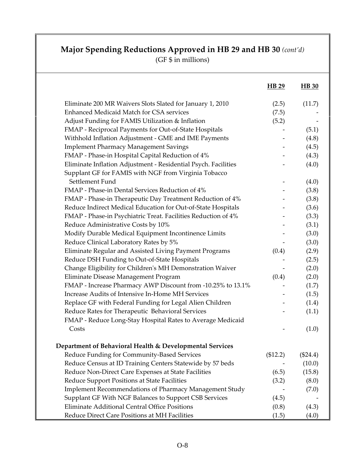|                                                                                                                        | HB 29    | <b>HB</b> 30 |
|------------------------------------------------------------------------------------------------------------------------|----------|--------------|
| Eliminate 200 MR Waivers Slots Slated for January 1, 2010                                                              | (2.5)    | (11.7)       |
| <b>Enhanced Medicaid Match for CSA services</b>                                                                        | (7.5)    |              |
| Adjust Funding for FAMIS Utilization & Inflation                                                                       | (5.2)    |              |
| FMAP - Reciprocal Payments for Out-of-State Hospitals                                                                  |          | (5.1)        |
| Withhold Inflation Adjustment - GME and IME Payments                                                                   |          | (4.8)        |
| <b>Implement Pharmacy Management Savings</b>                                                                           |          | (4.5)        |
| FMAP - Phase-in Hospital Capital Reduction of 4%                                                                       |          | (4.3)        |
| Eliminate Inflation Adjustment - Residential Psych. Facilities<br>Supplant GF for FAMIS with NGF from Virginia Tobacco |          | (4.0)        |
| Settlement Fund                                                                                                        |          | (4.0)        |
| FMAP - Phase-in Dental Services Reduction of 4%                                                                        |          | (3.8)        |
| FMAP - Phase-in Therapeutic Day Treatment Reduction of 4%                                                              |          | (3.8)        |
| Reduce Indirect Medical Education for Out-of-State Hospitals                                                           |          | (3.6)        |
| FMAP - Phase-in Psychiatric Treat. Facilities Reduction of 4%                                                          |          | (3.3)        |
| Reduce Administrative Costs by 10%                                                                                     |          | (3.1)        |
| Modify Durable Medical Equipment Incontinence Limits                                                                   |          | (3.0)        |
| Reduce Clinical Laboratory Rates by 5%                                                                                 |          | (3.0)        |
| Eliminate Regular and Assisted Living Payment Programs                                                                 | (0.4)    | (2.9)        |
| Reduce DSH Funding to Out-of-State Hospitals                                                                           |          | (2.5)        |
| Change Eligibility for Children's MH Demonstration Waiver                                                              |          | (2.0)        |
| Eliminate Disease Management Program                                                                                   | (0.4)    | (2.0)        |
| FMAP - Increase Pharmacy AWP Discount from -10.25% to 13.1%                                                            |          | (1.7)        |
| Increase Audits of Intensive In-Home MH Services                                                                       |          | (1.5)        |
| Replace GF with Federal Funding for Legal Alien Children                                                               |          | (1.4)        |
| Reduce Rates for Therapeutic Behavioral Services                                                                       |          | (1.1)        |
| FMAP - Reduce Long-Stay Hospital Rates to Average Medicaid<br>Costs                                                    |          | (1.0)        |
| Department of Behavioral Health & Developmental Services                                                               |          |              |
| Reduce Funding for Community-Based Services                                                                            | (\$12.2) | $(\$24.4)$   |
| Reduce Census at ID Training Centers Statewide by 57 beds                                                              |          | (10.0)       |
| Reduce Non-Direct Care Expenses at State Facilities                                                                    | (6.5)    | (15.8)       |
| Reduce Support Positions at State Facilities                                                                           | (3.2)    | (8.0)        |
| Implement Recommendations of Pharmacy Management Study                                                                 |          | (7.0)        |
| Supplant GF With NGF Balances to Support CSB Services                                                                  | (4.5)    |              |
| Eliminate Additional Central Office Positions                                                                          | (0.8)    | (4.3)        |
| Reduce Direct Care Positions at MH Facilities                                                                          | (1.5)    | (4.0)        |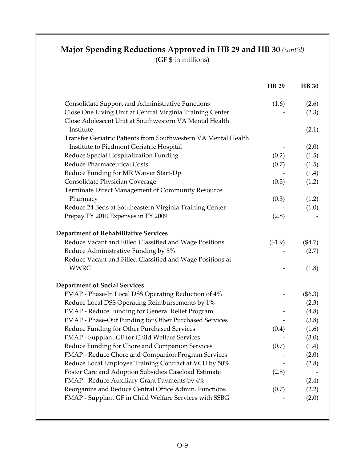|                                                                | HB 29   | <b>HB</b> 30 |
|----------------------------------------------------------------|---------|--------------|
| <b>Consolidate Support and Administrative Functions</b>        | (1.6)   | (2.6)        |
| Close One Living Unit at Central Virginia Training Center      |         | (2.3)        |
| Close Adolescent Unit at Southwestern VA Mental Health         |         |              |
| Institute                                                      |         | (2.1)        |
| Transfer Geriatric Patients from Southwestern VA Mental Health |         |              |
| Institute to Piedmont Geriatric Hospital                       |         | (2.0)        |
| Reduce Special Hospitalization Funding                         | (0.2)   | (1.5)        |
| Reduce Pharmaceutical Costs                                    | (0.7)   | (1.5)        |
| Reduce Funding for MR Waiver Start-Up                          |         | (1.4)        |
| Consolidate Physician Coverage                                 | (0.3)   | (1.2)        |
| Terminate Direct Management of Community Resource              |         |              |
| Pharmacy                                                       | (0.3)   | (1.2)        |
| Reduce 24 Beds at Southeastern Virginia Training Center        |         | (1.0)        |
| Prepay FY 2010 Expenses in FY 2009                             | (2.8)   |              |
| <b>Department of Rehabilitative Services</b>                   |         |              |
| Reduce Vacant and Filled Classified and Wage Positions         | (\$1.9) | $(\$4.7)$    |
| Reduce Administrative Funding by 5%                            |         | (2.7)        |
| Reduce Vacant and Filled Classified and Wage Positions at      |         |              |
| <b>WWRC</b>                                                    |         | (1.8)        |
| <b>Department of Social Services</b>                           |         |              |
| FMAP - Phase-In Local DSS Operating Reduction of 4%            |         | (\$6.3)      |
| Reduce Local DSS Operating Reimbursements by 1%                |         | (2.3)        |
| FMAP - Reduce Funding for General Relief Program               |         | (4.8)        |
| FMAP - Phase-Out Funding for Other Purchased Services          |         | (3.8)        |
| Reduce Funding for Other Purchased Services                    | (0.4)   | (1.6)        |
| FMAP - Supplant GF for Child Welfare Services                  |         | (3.0)        |
| Reduce Funding for Chore and Companion Services                | (0.7)   | (1.4)        |
| FMAP - Reduce Chore and Companion Program Services             |         | (2.0)        |
| Reduce Local Employee Training Contract at VCU by 50%          |         | (2.8)        |
| Foster Care and Adoption Subsidies Caseload Estimate           | (2.8)   |              |
| FMAP - Reduce Auxiliary Grant Payments by 4%                   |         | (2.4)        |
| Reorganize and Reduce Central Office Admin. Functions          | (0.7)   | (2.2)        |
| FMAP - Supplant GF in Child Welfare Services with SSBG         |         | (2.0)        |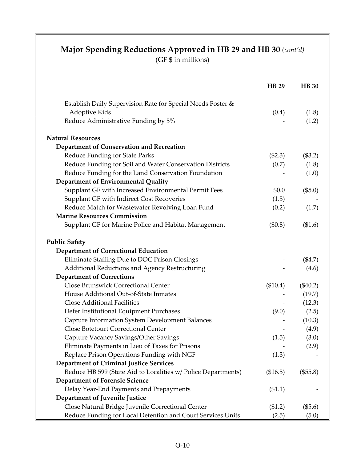|                                                               | <b>HB</b> 29 | <b>HB</b> 30 |
|---------------------------------------------------------------|--------------|--------------|
| Establish Daily Supervision Rate for Special Needs Foster &   |              |              |
| Adoptive Kids                                                 | (0.4)        | (1.8)        |
| Reduce Administrative Funding by 5%                           |              | (1.2)        |
| <b>Natural Resources</b>                                      |              |              |
| Department of Conservation and Recreation                     |              |              |
| Reduce Funding for State Parks                                | (\$2.3)      | (\$3.2)      |
| Reduce Funding for Soil and Water Conservation Districts      | (0.7)        | (1.8)        |
| Reduce Funding for the Land Conservation Foundation           |              | (1.0)        |
| Department of Environmental Quality                           |              |              |
| Supplant GF with Increased Environmental Permit Fees          | \$0.0        | (\$5.0)      |
| Supplant GF with Indirect Cost Recoveries                     | (1.5)        |              |
| Reduce Match for Wastewater Revolving Loan Fund               | (0.2)        | (1.7)        |
| <b>Marine Resources Commission</b>                            |              |              |
| Supplant GF for Marine Police and Habitat Management          | (\$0.8)      | (\$1.6)      |
| <b>Public Safety</b>                                          |              |              |
| <b>Department of Correctional Education</b>                   |              |              |
| Eliminate Staffing Due to DOC Prison Closings                 |              | (\$4.7)      |
| Additional Reductions and Agency Restructuring                |              | (4.6)        |
| <b>Department of Corrections</b>                              |              |              |
| <b>Close Brunswick Correctional Center</b>                    | (\$10.4)     | $(\$40.2)$   |
| House Additional Out-of-State Inmates                         |              | (19.7)       |
| Close Additional Facilities                                   |              | (12.3)       |
| Defer Institutional Equipment Purchases                       | (9.0)        | (2.5)        |
| Capture Information System Development Balances               |              | (10.3)       |
| <b>Close Botetourt Correctional Center</b>                    |              | (4.9)        |
| Capture Vacancy Savings/Other Savings                         | (1.5)        | (3.0)        |
| Eliminate Payments in Lieu of Taxes for Prisons               |              | (2.9)        |
| Replace Prison Operations Funding with NGF                    | (1.3)        |              |
| <b>Department of Criminal Justice Services</b>                |              |              |
| Reduce HB 599 (State Aid to Localities w/ Police Departments) | (\$16.5)     | (\$55.8)     |
| <b>Department of Forensic Science</b>                         |              |              |
| Delay Year-End Payments and Prepayments                       | (\$1.1)      |              |
| Department of Juvenile Justice                                |              |              |
| Close Natural Bridge Juvenile Correctional Center             | (\$1.2)      | (\$5.6)      |
| Reduce Funding for Local Detention and Court Services Units   | (2.5)        | (5.0)        |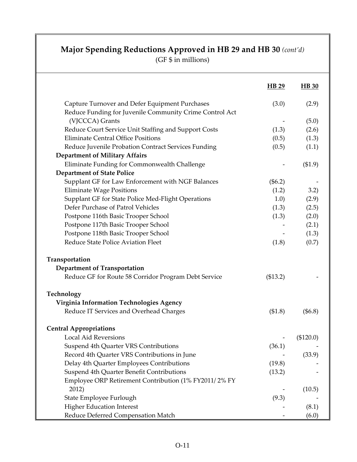|                                                         | HB 29      | <b>HB</b> 30 |
|---------------------------------------------------------|------------|--------------|
| Capture Turnover and Defer Equipment Purchases          | (3.0)      | (2.9)        |
| Reduce Funding for Juvenile Community Crime Control Act |            |              |
| (VJCCCA) Grants                                         |            | (5.0)        |
| Reduce Court Service Unit Staffing and Support Costs    | (1.3)      | (2.6)        |
| <b>Eliminate Central Office Positions</b>               | (0.5)      | (1.3)        |
| Reduce Juvenile Probation Contract Services Funding     | (0.5)      | (1.1)        |
| <b>Department of Military Affairs</b>                   |            |              |
| Eliminate Funding for Commonwealth Challenge            |            | (\$1.9)      |
| <b>Department of State Police</b>                       |            |              |
| Supplant GF for Law Enforcement with NGF Balances       | $(\$6.2)$  |              |
| <b>Eliminate Wage Positions</b>                         | (1.2)      | 3.2)         |
| Supplant GF for State Police Med-Flight Operations      | 1.0)       | (2.9)        |
| Defer Purchase of Patrol Vehicles                       | (1.3)      | (2.5)        |
| Postpone 116th Basic Trooper School                     | (1.3)      | (2.0)        |
| Postpone 117th Basic Trooper School                     |            | (2.1)        |
| Postpone 118th Basic Trooper School                     |            | (1.3)        |
| Reduce State Police Aviation Fleet                      | (1.8)      | (0.7)        |
| Transportation                                          |            |              |
| <b>Department of Transportation</b>                     |            |              |
| Reduce GF for Route 58 Corridor Program Debt Service    | (\$13.2)   |              |
| Technology                                              |            |              |
| Virginia Information Technologies Agency                |            |              |
| Reduce IT Services and Overhead Charges                 | (\$1.8)    | (\$6.8)      |
| <b>Central Appropriations</b>                           |            |              |
| Local Aid Reversions                                    | $\sim 100$ | (\$120.0)    |
| Suspend 4th Quarter VRS Contributions                   | (36.1)     |              |
| Record 4th Quarter VRS Contributions in June            |            | (33.9)       |
| Delay 4th Quarter Employees Contributions               | (19.8)     |              |
| Suspend 4th Quarter Benefit Contributions               | (13.2)     |              |
| Employee ORP Retirement Contribution (1% FY2011/2% FY   |            |              |
| 2012)                                                   |            | (10.5)       |
| State Employee Furlough                                 | (9.3)      |              |
| <b>Higher Education Interest</b>                        |            | (8.1)        |
| Reduce Deferred Compensation Match                      |            | (6.0)        |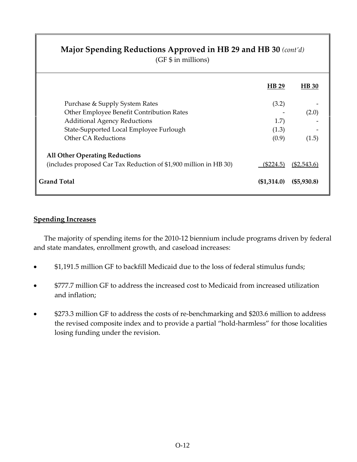(GF \$ in millions)

|                                                                   | <b>HB</b> 29 | <b>HB</b> 30  |
|-------------------------------------------------------------------|--------------|---------------|
| Purchase & Supply System Rates                                    | (3.2)        |               |
| Other Employee Benefit Contribution Rates                         |              | (2.0)         |
| <b>Additional Agency Reductions</b>                               | 1.7)         |               |
| State-Supported Local Employee Furlough                           | (1.3)        |               |
| Other CA Reductions                                               | (0.9)        | (1.5)         |
| <b>All Other Operating Reductions</b>                             |              |               |
| (includes proposed Car Tax Reduction of \$1,900 million in HB 30) | $(\$224.5)$  | $(\$2,543.6)$ |
| <b>Grand Total</b>                                                | (\$1,314.0)  | (\$5,930.8)   |

#### **Spending Increases**

The majority of spending items for the 2010‐12 biennium include programs driven by federal and state mandates, enrollment growth, and caseload increases:

- \$1,191.5 million GF to backfill Medicaid due to the loss of federal stimulus funds;
- \$777.7 million GF to address the increased cost to Medicaid from increased utilization and inflation;
- \$273.3 million GF to address the costs of re‐benchmarking and \$203.6 million to address the revised composite index and to provide a partial "hold‐harmless" for those localities losing funding under the revision.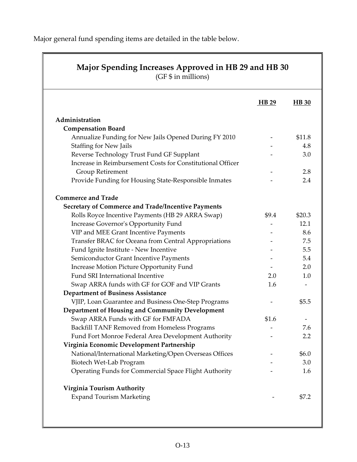Major general fund spending items are detailed in the table below.

|                                                               | HB 29 | <b>HB</b> 30 |
|---------------------------------------------------------------|-------|--------------|
| Administration                                                |       |              |
| <b>Compensation Board</b>                                     |       |              |
| Annualize Funding for New Jails Opened During FY 2010         |       | \$11.8       |
| <b>Staffing for New Jails</b>                                 |       | 4.8          |
| Reverse Technology Trust Fund GF Supplant                     |       | 3.0          |
| Increase in Reimbursement Costs for Constitutional Officer    |       |              |
| Group Retirement                                              |       | 2.8          |
| Provide Funding for Housing State-Responsible Inmates         |       | 2.4          |
| <b>Commerce and Trade</b>                                     |       |              |
| <b>Secretary of Commerce and Trade/Incentive Payments</b>     |       |              |
| Rolls Royce Incentive Payments (HB 29 ARRA Swap)              | \$9.4 | \$20.3       |
| Increase Governor's Opportunity Fund                          |       | 12.1         |
| VIP and MEE Grant Incentive Payments                          |       | 8.6          |
| Transfer BRAC for Oceana from Central Appropriations          |       | 7.5          |
| Fund Ignite Institute - New Incentive                         |       | 5.5          |
| Semiconductor Grant Incentive Payments                        |       | 5.4          |
| Increase Motion Picture Opportunity Fund                      |       | 2.0          |
| Fund SRI International Incentive                              | 2.0   | 1.0          |
| Swap ARRA funds with GF for GOF and VIP Grants                | 1.6   |              |
| <b>Department of Business Assistance</b>                      |       |              |
| VJIP, Loan Guarantee and Business One-Step Programs           |       | \$5.5        |
| Department of Housing and Community Development               |       |              |
| Swap ARRA Funds with GF for FMFADA                            | \$1.6 |              |
| Backfill TANF Removed from Homeless Programs                  |       | 7.6          |
| Fund Fort Monroe Federal Area Development Authority           |       | 2.2          |
| Virginia Economic Development Partnership                     |       |              |
| National/International Marketing/Open Overseas Offices        |       | \$6.0        |
| Biotech Wet-Lab Program                                       |       | 3.0          |
| Operating Funds for Commercial Space Flight Authority         |       | 1.6          |
|                                                               |       |              |
| Virginia Tourism Authority<br><b>Expand Tourism Marketing</b> |       | \$7.2        |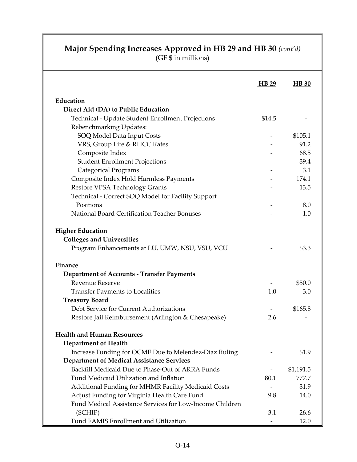#### **Major Spending Increases Approved in HB 29 and HB 30** *(cont'd)*

|                                                          | <b>HB</b> 29 | <b>HB</b> 30 |
|----------------------------------------------------------|--------------|--------------|
| Education                                                |              |              |
| Direct Aid (DA) to Public Education                      |              |              |
| Technical - Update Student Enrollment Projections        | \$14.5       |              |
| Rebenchmarking Updates:                                  |              |              |
| SOQ Model Data Input Costs                               |              | \$105.1      |
| VRS, Group Life & RHCC Rates                             |              | 91.2         |
| Composite Index                                          |              | 68.5         |
| <b>Student Enrollment Projections</b>                    |              | 39.4         |
| <b>Categorical Programs</b>                              |              | 3.1          |
| Composite Index Hold Harmless Payments                   |              | 174.1        |
| Restore VPSA Technology Grants                           |              | 13.5         |
| Technical - Correct SOQ Model for Facility Support       |              |              |
| Positions                                                |              | 8.0          |
| National Board Certification Teacher Bonuses             |              | 1.0          |
| <b>Higher Education</b>                                  |              |              |
| <b>Colleges and Universities</b>                         |              |              |
| Program Enhancements at LU, UMW, NSU, VSU, VCU           |              | \$3.3        |
| Finance                                                  |              |              |
| <b>Department of Accounts - Transfer Payments</b>        |              |              |
| <b>Revenue Reserve</b>                                   |              | \$50.0       |
| <b>Transfer Payments to Localities</b>                   | 1.0          | 3.0          |
| <b>Treasury Board</b>                                    |              |              |
| Debt Service for Current Authorizations                  |              | \$165.8      |
| Restore Jail Reimbursement (Arlington & Chesapeake)      | 2.6          |              |
| <b>Health and Human Resources</b>                        |              |              |
| <b>Department of Health</b>                              |              |              |
| Increase Funding for OCME Due to Melendez-Diaz Ruling    |              | \$1.9        |
| <b>Department of Medical Assistance Services</b>         |              |              |
| Backfill Medicaid Due to Phase-Out of ARRA Funds         |              | \$1,191.5    |
| Fund Medicaid Utilization and Inflation                  | 80.1         | 777.7        |
| Additional Funding for MHMR Facility Medicaid Costs      |              | 31.9         |
| Adjust Funding for Virginia Health Care Fund             | 9.8          | 14.0         |
| Fund Medical Assistance Services for Low-Income Children |              |              |
| (SCHIP)                                                  | 3.1          | 26.6         |
| Fund FAMIS Enrollment and Utilization                    |              | 12.0         |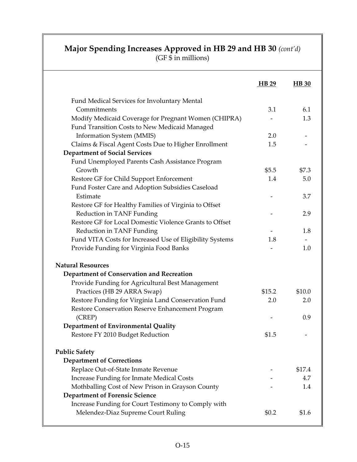### **Major Spending Increases Approved in HB 29 and HB 30** *(cont'd)*

|                                                          | H B 29 | <b>HB</b> 30             |
|----------------------------------------------------------|--------|--------------------------|
| Fund Medical Services for Involuntary Mental             |        |                          |
| Commitments                                              | 3.1    | 6.1                      |
| Modify Medicaid Coverage for Pregnant Women (CHIPRA)     |        | 1.3                      |
| Fund Transition Costs to New Medicaid Managed            |        |                          |
| <b>Information System (MMIS)</b>                         | 2.0    | $\overline{\phantom{a}}$ |
| Claims & Fiscal Agent Costs Due to Higher Enrollment     | 1.5    |                          |
| <b>Department of Social Services</b>                     |        |                          |
| Fund Unemployed Parents Cash Assistance Program          |        |                          |
| Growth                                                   | \$5.5  | \$7.3                    |
| Restore GF for Child Support Enforcement                 | 1.4    | 5.0                      |
| Fund Foster Care and Adoption Subsidies Caseload         |        |                          |
| Estimate                                                 |        | 3.7                      |
| Restore GF for Healthy Families of Virginia to Offset    |        |                          |
| Reduction in TANF Funding                                |        | 2.9                      |
| Restore GF for Local Domestic Violence Grants to Offset  |        |                          |
| Reduction in TANF Funding                                |        | 1.8                      |
| Fund VITA Costs for Increased Use of Eligibility Systems | 1.8    |                          |
| Provide Funding for Virginia Food Banks                  |        | 1.0                      |
| <b>Natural Resources</b>                                 |        |                          |
| Department of Conservation and Recreation                |        |                          |
| Provide Funding for Agricultural Best Management         |        |                          |
| Practices (HB 29 ARRA Swap)                              | \$15.2 | \$10.0                   |
| Restore Funding for Virginia Land Conservation Fund      | 2.0    | 2.0                      |
| Restore Conservation Reserve Enhancement Program         |        |                          |
| (CREF)                                                   |        | 0.9                      |
| Department of Environmental Quality                      |        |                          |
| Restore FY 2010 Budget Reduction                         | \$1.5  |                          |
| <b>Public Safety</b>                                     |        |                          |
| <b>Department of Corrections</b>                         |        |                          |
| Replace Out-of-State Inmate Revenue                      |        | \$17.4                   |
| <b>Increase Funding for Inmate Medical Costs</b>         |        | 4.7                      |
| Mothballing Cost of New Prison in Grayson County         |        | 1.4                      |
| <b>Department of Forensic Science</b>                    |        |                          |
| Increase Funding for Court Testimony to Comply with      |        |                          |
| Melendez-Diaz Supreme Court Ruling                       | \$0.2  | \$1.6                    |
|                                                          |        |                          |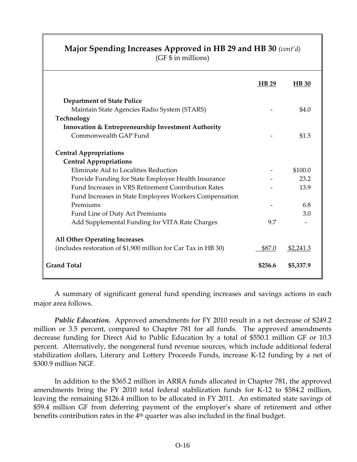#### **Major Spending Increases Approved in HB 29 and HB 30** *(cont'd)*

(GF \$ in millions)

|                                                                | <b>HB 29</b> | <b>HB</b> 30 |
|----------------------------------------------------------------|--------------|--------------|
| <b>Department of State Police</b>                              |              |              |
| Maintain State Agencies Radio System (STARS)                   |              | \$4.0        |
| Technology                                                     |              |              |
| <b>Innovation &amp; Entrepreneurship Investment Authority</b>  |              |              |
| Commonwealth GAP Fund                                          |              | \$1.5        |
| <b>Central Appropriations</b>                                  |              |              |
| <b>Central Appropriations</b>                                  |              |              |
| Eliminate Aid to Localities Reduction                          |              | \$100.0      |
| Provide Funding for State Employee Health Insurance            |              | 23.2         |
| Fund Increases in VRS Retirement Contribution Rates            |              | 13.9         |
| Fund Increases in State Employees Workers Compensation         |              |              |
| Premiums                                                       |              | 6.8          |
| Fund Line of Duty Act Premiums                                 |              | 3.0          |
| Add Supplemental Funding for VITA Rate Charges                 | 9.7          |              |
| <b>All Other Operating Increases</b>                           |              |              |
| (includes restoration of \$1,900 million for Car Tax in HB 30) | \$87.0       | \$2,241.3    |
| <b>Grand Total</b>                                             | \$256.6      | \$5,337.9    |

A summary of significant general fund spending increases and savings actions in each major area follows.

*Public Education.* Approved amendments for FY 2010 result in a net decrease of \$249.2 million or 3.5 percent, compared to Chapter 781 for all funds. The approved amendments decrease funding for Direct Aid to Public Education by a total of \$550.1 million GF or 10.3 percent. Alternatively, the nongeneral fund revenue sources, which include additional federal stabilization dollars, Literary and Lottery Proceeds Funds, increase K-12 funding by a net of \$300.9 million NGF.

 In addition to the \$365.2 million in ARRA funds allocated in Chapter 781, the approved amendments bring the FY 2010 total federal stabilization funds for K-12 to \$584.2 million, leaving the remaining \$126.4 million to be allocated in FY 2011. An estimated state savings of \$59.4 million GF from deferring payment of the employer's share of retirement and other benefits contribution rates in the 4<sup>th</sup> quarter was also included in the final budget.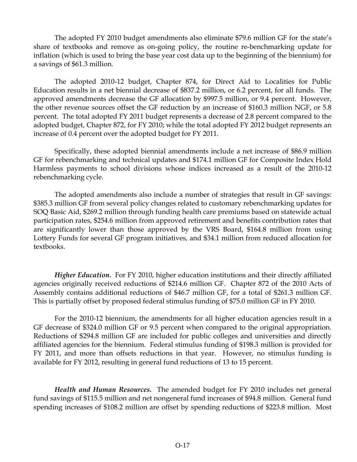The adopted FY 2010 budget amendments also eliminate \$79.6 million GF for the state's share of textbooks and remove as on-going policy, the routine re-benchmarking update for inflation (which is used to bring the base year cost data up to the beginning of the biennium) for a savings of \$61.3 million.

 The adopted 2010-12 budget, Chapter 874, for Direct Aid to Localities for Public Education results in a net biennial decrease of \$837.2 million, or 6.2 percent, for all funds. The approved amendments decrease the GF allocation by \$997.5 million, or 9.4 percent. However, the other revenue sources offset the GF reduction by an increase of \$160.3 million NGF, or 5.8 percent. The total adopted FY 2011 budget represents a decrease of 2.8 percent compared to the adopted budget, Chapter 872, for FY 2010; while the total adopted FY 2012 budget represents an increase of 0.4 percent over the adopted budget for FY 2011.

 Specifically, these adopted biennial amendments include a net increase of \$86.9 million GF for rebenchmarking and technical updates and \$174.1 million GF for Composite Index Hold Harmless payments to school divisions whose indices increased as a result of the 2010-12 rebenchmarking cycle.

 The adopted amendments also include a number of strategies that result in GF savings: \$385.3 million GF from several policy changes related to customary rebenchmarking updates for SOQ Basic Aid, \$269.2 million through funding health care premiums based on statewide actual participation rates, \$254.6 million from approved retirement and benefits contribution rates that are significantly lower than those approved by the VRS Board, \$164.8 million from using Lottery Funds for several GF program initiatives, and \$34.1 million from reduced allocation for textbooks.

*Higher Education.* For FY 2010, higher education institutions and their directly affiliated agencies originally received reductions of \$214.6 million GF. Chapter 872 of the 2010 Acts of Assembly contains additional reductions of \$46.7 million GF, for a total of \$261.3 million GF. This is partially offset by proposed federal stimulus funding of \$75.0 million GF in FY 2010.

For the 2010-12 biennium, the amendments for all higher education agencies result in a GF decrease of \$324.0 million GF or 9.5 percent when compared to the original appropriation. Reductions of \$294.8 million GF are included for public colleges and universities and directly affiliated agencies for the biennium. Federal stimulus funding of \$198.3 million is provided for FY 2011, and more than offsets reductions in that year. However, no stimulus funding is available for FY 2012, resulting in general fund reductions of 13 to 15 percent.

*Health and Human Resources.* The amended budget for FY 2010 includes net general fund savings of \$115.5 million and net nongeneral fund increases of \$94.8 million. General fund spending increases of \$108.2 million are offset by spending reductions of \$223.8 million. Most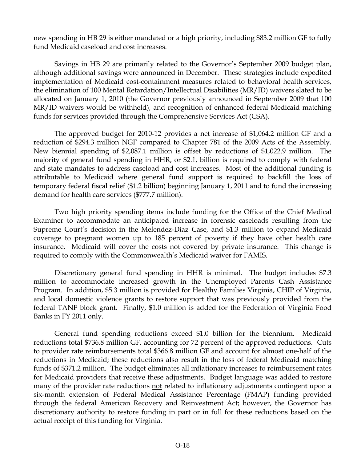new spending in HB 29 is either mandated or a high priority, including \$83.2 million GF to fully fund Medicaid caseload and cost increases.

Savings in HB 29 are primarily related to the Governor's September 2009 budget plan, although additional savings were announced in December. These strategies include expedited implementation of Medicaid cost-containment measures related to behavioral health services, the elimination of 100 Mental Retardation/Intellectual Disabilities (MR/ID) waivers slated to be allocated on January 1, 2010 (the Governor previously announced in September 2009 that 100 MR/ID waivers would be withheld), and recognition of enhanced federal Medicaid matching funds for services provided through the Comprehensive Services Act (CSA).

The approved budget for 2010-12 provides a net increase of \$1,064.2 million GF and a reduction of \$294.3 million NGF compared to Chapter 781 of the 2009 Acts of the Assembly. New biennial spending of \$2,087.1 million is offset by reductions of \$1,022.9 million. The majority of general fund spending in HHR, or \$2.1, billion is required to comply with federal and state mandates to address caseload and cost increases. Most of the additional funding is attributable to Medicaid where general fund support is required to backfill the loss of temporary federal fiscal relief (\$1.2 billion) beginning January 1, 2011 and to fund the increasing demand for health care services (\$777.7 million).

Two high priority spending items include funding for the Office of the Chief Medical Examiner to accommodate an anticipated increase in forensic caseloads resulting from the Supreme Court's decision in the Melendez-Diaz Case, and \$1.3 million to expand Medicaid coverage to pregnant women up to 185 percent of poverty if they have other health care insurance. Medicaid will cover the costs not covered by private insurance. This change is required to comply with the Commonwealth's Medicaid waiver for FAMIS.

Discretionary general fund spending in HHR is minimal. The budget includes \$7.3 million to accommodate increased growth in the Unemployed Parents Cash Assistance Program. In addition, \$5.3 million is provided for Healthy Families Virginia, CHIP of Virginia, and local domestic violence grants to restore support that was previously provided from the federal TANF block grant. Finally, \$1.0 million is added for the Federation of Virginia Food Banks in FY 2011 only.

General fund spending reductions exceed \$1.0 billion for the biennium. Medicaid reductions total \$736.8 million GF, accounting for 72 percent of the approved reductions. Cuts to provider rate reimbursements total \$366.8 million GF and account for almost one-half of the reductions in Medicaid; these reductions also result in the loss of federal Medicaid matching funds of \$371.2 million. The budget eliminates all inflationary increases to reimbursement rates for Medicaid providers that receive these adjustments. Budget language was added to restore many of the provider rate reductions not related to inflationary adjustments contingent upon a six-month extension of Federal Medical Assistance Percentage (FMAP) funding provided through the federal American Recovery and Reinvestment Act; however, the Governor has discretionary authority to restore funding in part or in full for these reductions based on the actual receipt of this funding for Virginia.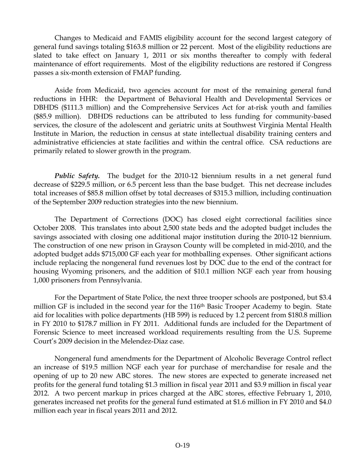Changes to Medicaid and FAMIS eligibility account for the second largest category of general fund savings totaling \$163.8 million or 22 percent. Most of the eligibility reductions are slated to take effect on January 1, 2011 or six months thereafter to comply with federal maintenance of effort requirements. Most of the eligibility reductions are restored if Congress passes a six-month extension of FMAP funding.

Aside from Medicaid, two agencies account for most of the remaining general fund reductions in HHR: the Department of Behavioral Health and Developmental Services or DBHDS (\$111.3 million) and the Comprehensive Services Act for at-risk youth and families (\$85.9 million). DBHDS reductions can be attributed to less funding for community-based services, the closure of the adolescent and geriatric units at Southwest Virginia Mental Health Institute in Marion, the reduction in census at state intellectual disability training centers and administrative efficiencies at state facilities and within the central office. CSA reductions are primarily related to slower growth in the program.

*Public Safety.* The budget for the 2010-12 biennium results in a net general fund decrease of \$229.5 million, or 6.5 percent less than the base budget. This net decrease includes total increases of \$85.8 million offset by total decreases of \$315.3 million, including continuation of the September 2009 reduction strategies into the new biennium.

The Department of Corrections (DOC) has closed eight correctional facilities since October 2008. This translates into about 2,500 state beds and the adopted budget includes the savings associated with closing one additional major institution during the 2010-12 biennium. The construction of one new prison in Grayson County will be completed in mid-2010, and the adopted budget adds \$715,000 GF each year for mothballing expenses. Other significant actions include replacing the nongeneral fund revenues lost by DOC due to the end of the contract for housing Wyoming prisoners, and the addition of \$10.1 million NGF each year from housing 1,000 prisoners from Pennsylvania.

For the Department of State Police, the next three trooper schools are postponed, but \$3.4 million GF is included in the second year for the 116<sup>th</sup> Basic Trooper Academy to begin. State aid for localities with police departments (HB 599) is reduced by 1.2 percent from \$180.8 million in FY 2010 to \$178.7 million in FY 2011. Additional funds are included for the Department of Forensic Science to meet increased workload requirements resulting from the U.S. Supreme Court's 2009 decision in the Melendez-Diaz case.

Nongeneral fund amendments for the Department of Alcoholic Beverage Control reflect an increase of \$19.5 million NGF each year for purchase of merchandise for resale and the opening of up to 20 new ABC stores. The new stores are expected to generate increased net profits for the general fund totaling \$1.3 million in fiscal year 2011 and \$3.9 million in fiscal year 2012. A two percent markup in prices charged at the ABC stores, effective February 1, 2010, generates increased net profits for the general fund estimated at \$1.6 million in FY 2010 and \$4.0 million each year in fiscal years 2011 and 2012.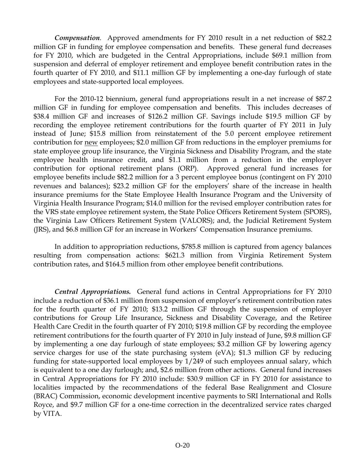*Compensation*.Approved amendments for FY 2010 result in a net reduction of \$82.2 million GF in funding for employee compensation and benefits. These general fund decreases for FY 2010, which are budgeted in the Central Appropriations, include \$69.1 million from suspension and deferral of employer retirement and employee benefit contribution rates in the fourth quarter of FY 2010, and \$11.1 million GF by implementing a one-day furlough of state employees and state-supported local employees.

For the 2010-12 biennium, general fund appropriations result in a net increase of \$87.2 million GF in funding for employee compensation and benefits. This includes decreases of \$38.4 million GF and increases of \$126.2 million GF. Savings include \$19.5 million GF by recording the employee retirement contributions for the fourth quarter of FY 2011 in July instead of June; \$15.8 million from reinstatement of the 5.0 percent employee retirement contribution for new employees; \$2.0 million GF from reductions in the employer premiums for state employee group life insurance, the Virginia Sickness and Disability Program, and the state employee health insurance credit, and \$1.1 million from a reduction in the employer contribution for optional retirement plans (ORP). Approved general fund increases for employee benefits include \$82.2 million for a 3 percent employee bonus (contingent on FY 2010 revenues and balances); \$23.2 million GF for the employers' share of the increase in health insurance premiums for the State Employee Health Insurance Program and the University of Virginia Health Insurance Program; \$14.0 million for the revised employer contribution rates for the VRS state employee retirement system, the State Police Officers Retirement System (SPORS), the Virginia Law Officers Retirement System (VALORS); and, the Judicial Retirement System (JRS), and \$6.8 million GF for an increase in Workers' Compensation Insurance premiums.

In addition to appropriation reductions, \$785.8 million is captured from agency balances resulting from compensation actions: \$621.3 million from Virginia Retirement System contribution rates, and \$164.5 million from other employee benefit contributions.

*Central Appropriations.* General fund actions in Central Appropriations for FY 2010 include a reduction of \$36.1 million from suspension of employer's retirement contribution rates for the fourth quarter of FY 2010; \$13.2 million GF through the suspension of employer contributions for Group Life Insurance, Sickness and Disability Coverage, and the Retiree Health Care Credit in the fourth quarter of FY 2010; \$19.8 million GF by recording the employee retirement contributions for the fourth quarter of FY 2010 in July instead of June, \$9.8 million GF by implementing a one day furlough of state employees; \$3.2 million GF by lowering agency service charges for use of the state purchasing system (eVA); \$1.3 million GF by reducing funding for state-supported local employees by 1/249 of such employees annual salary, which is equivalent to a one day furlough; and, \$2.6 million from other actions. General fund increases in Central Appropriations for FY 2010 include: \$30.9 million GF in FY 2010 for assistance to localities impacted by the recommendations of the federal Base Realignment and Closure (BRAC) Commission, economic development incentive payments to SRI International and Rolls Royce, and \$9.7 million GF for a one-time correction in the decentralized service rates charged by VITA.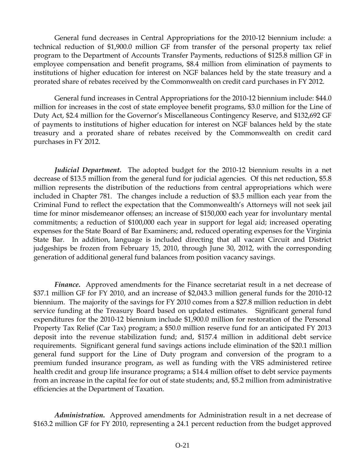General fund decreases in Central Appropriations for the 2010-12 biennium include: a technical reduction of \$1,900.0 million GF from transfer of the personal property tax relief program to the Department of Accounts Transfer Payments, reductions of \$125.8 million GF in employee compensation and benefit programs, \$8.4 million from elimination of payments to institutions of higher education for interest on NGF balances held by the state treasury and a prorated share of rebates received by the Commonwealth on credit card purchases in FY 2012.

General fund increases in Central Appropriations for the 2010-12 biennium include: \$44.0 million for increases in the cost of state employee benefit programs, \$3.0 million for the Line of Duty Act, \$2.4 million for the Governor's Miscellaneous Contingency Reserve, and \$132,692 GF of payments to institutions of higher education for interest on NGF balances held by the state treasury and a prorated share of rebates received by the Commonwealth on credit card purchases in FY 2012.

*Judicial Department*. The adopted budget for the 2010-12 biennium results in a net decrease of \$13.5 million from the general fund for judicial agencies. Of this net reduction, \$5.8 million represents the distribution of the reductions from central appropriations which were included in Chapter 781. The changes include a reduction of \$3.5 million each year from the Criminal Fund to reflect the expectation that the Commonwealth's Attorneys will not seek jail time for minor misdemeanor offenses; an increase of \$150,000 each year for involuntary mental commitments; a reduction of \$100,000 each year in support for legal aid; increased operating expenses for the State Board of Bar Examiners; and, reduced operating expenses for the Virginia State Bar. In addition, language is included directing that all vacant Circuit and District judgeships be frozen from February 15, 2010, through June 30, 2012, with the corresponding generation of additional general fund balances from position vacancy savings.

*Finance***.** Approved amendments for the Finance secretariat result in a net decrease of \$37.1 million GF for FY 2010, and an increase of \$2,043.3 million general funds for the 2010-12 biennium. The majority of the savings for FY 2010 comes from a \$27.8 million reduction in debt service funding at the Treasury Board based on updated estimates. Significant general fund expenditures for the 2010-12 biennium include \$1,900.0 million for restoration of the Personal Property Tax Relief (Car Tax) program; a \$50.0 million reserve fund for an anticipated FY 2013 deposit into the revenue stabilization fund; and, \$157.4 million in additional debt service requirements. Significant general fund savings actions include elimination of the \$20.1 million general fund support for the Line of Duty program and conversion of the program to a premium funded insurance program, as well as funding with the VRS administered retiree health credit and group life insurance programs; a \$14.4 million offset to debt service payments from an increase in the capital fee for out of state students; and, \$5.2 million from administrative efficiencies at the Department of Taxation.

*Administration***.** Approved amendments for Administration result in a net decrease of \$163.2 million GF for FY 2010, representing a 24.1 percent reduction from the budget approved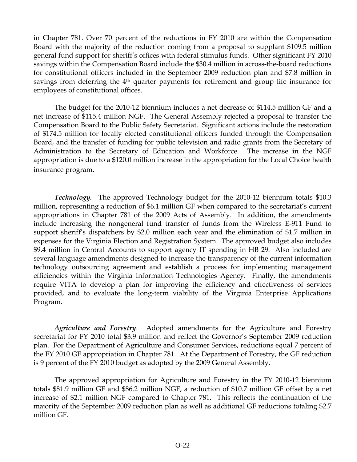in Chapter 781. Over 70 percent of the reductions in FY 2010 are within the Compensation Board with the majority of the reduction coming from a proposal to supplant \$109.5 million general fund support for sheriff's offices with federal stimulus funds. Other significant FY 2010 savings within the Compensation Board include the \$30.4 million in across-the-board reductions for constitutional officers included in the September 2009 reduction plan and \$7.8 million in savings from deferring the 4<sup>th</sup> quarter payments for retirement and group life insurance for employees of constitutional offices.

The budget for the 2010-12 biennium includes a net decrease of \$114.5 million GF and a net increase of \$115.4 million NGF. The General Assembly rejected a proposal to transfer the Compensation Board to the Public Safety Secretariat. Significant actions include the restoration of \$174.5 million for locally elected constitutional officers funded through the Compensation Board, and the transfer of funding for public television and radio grants from the Secretary of Administration to the Secretary of Education and Workforce. The increase in the NGF appropriation is due to a \$120.0 million increase in the appropriation for the Local Choice health insurance program.

 *Technology.* The approved Technology budget for the 2010-12 biennium totals \$10.3 million, representing a reduction of \$6.1 million GF when compared to the secretariat's current appropriations in Chapter 781 of the 2009 Acts of Assembly. In addition, the amendments include increasing the nongeneral fund transfer of funds from the Wireless E-911 Fund to support sheriff's dispatchers by \$2.0 million each year and the elimination of \$1.7 million in expenses for the Virginia Election and Registration System. The approved budget also includes \$9.4 million in Central Accounts to support agency IT spending in HB 29. Also included are several language amendments designed to increase the transparency of the current information technology outsourcing agreement and establish a process for implementing management efficiencies within the Virginia Information Technologies Agency. Finally, the amendments require VITA to develop a plan for improving the efficiency and effectiveness of services provided, and to evaluate the long-term viability of the Virginia Enterprise Applications Program.

*Agriculture and Forestry*. Adopted amendments for the Agriculture and Forestry secretariat for FY 2010 total \$3.9 million and reflect the Governor's September 2009 reduction plan. For the Department of Agriculture and Consumer Services, reductions equal 7 percent of the FY 2010 GF appropriation in Chapter 781. At the Department of Forestry, the GF reduction is 9 percent of the FY 2010 budget as adopted by the 2009 General Assembly.

The approved appropriation for Agriculture and Forestry in the FY 2010-12 biennium totals \$81.9 million GF and \$86.2 million NGF, a reduction of \$10.7 million GF offset by a net increase of \$2.1 million NGF compared to Chapter 781. This reflects the continuation of the majority of the September 2009 reduction plan as well as additional GF reductions totaling \$2.7 million GF.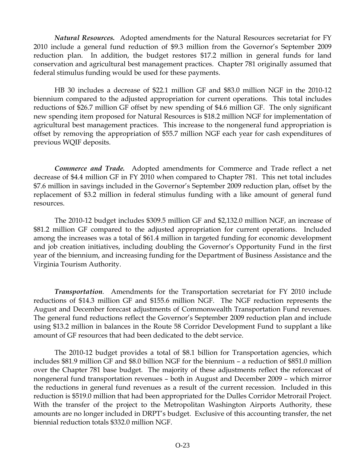*Natural Resources.* Adopted amendments for the Natural Resources secretariat for FY 2010 include a general fund reduction of \$9.3 million from the Governor's September 2009 reduction plan. In addition, the budget restores \$17.2 million in general funds for land conservation and agricultural best management practices. Chapter 781 originally assumed that federal stimulus funding would be used for these payments.

HB 30 includes a decrease of \$22.1 million GF and \$83.0 million NGF in the 2010-12 biennium compared to the adjusted appropriation for current operations. This total includes reductions of \$26.7 million GF offset by new spending of \$4.6 million GF. The only significant new spending item proposed for Natural Resources is \$18.2 million NGF for implementation of agricultural best management practices. This increase to the nongeneral fund appropriation is offset by removing the appropriation of \$55.7 million NGF each year for cash expenditures of previous WQIF deposits.

*Commerce and Trade.* Adopted amendments for Commerce and Trade reflect a net decrease of \$4.4 million GF in FY 2010 when compared to Chapter 781. This net total includes \$7.6 million in savings included in the Governor's September 2009 reduction plan, offset by the replacement of \$3.2 million in federal stimulus funding with a like amount of general fund resources.

 The 2010-12 budget includes \$309.5 million GF and \$2,132.0 million NGF, an increase of \$81.2 million GF compared to the adjusted appropriation for current operations. Included among the increases was a total of \$61.4 million in targeted funding for economic development and job creation initiatives, including doubling the Governor's Opportunity Fund in the first year of the biennium, and increasing funding for the Department of Business Assistance and the Virginia Tourism Authority.

*Transportation*. Amendments for the Transportation secretariat for FY 2010 include reductions of \$14.3 million GF and \$155.6 million NGF. The NGF reduction represents the August and December forecast adjustments of Commonwealth Transportation Fund revenues. The general fund reductions reflect the Governor's September 2009 reduction plan and include using \$13.2 million in balances in the Route 58 Corridor Development Fund to supplant a like amount of GF resources that had been dedicated to the debt service.

 The 2010-12 budget provides a total of \$8.1 billion for Transportation agencies, which includes \$81.9 million GF and \$8.0 billion NGF for the biennium – a reduction of \$851.0 million over the Chapter 781 base budget. The majority of these adjustments reflect the reforecast of nongeneral fund transportation revenues – both in August and December 2009 – which mirror the reductions in general fund revenues as a result of the current recession. Included in this reduction is \$519.0 million that had been appropriated for the Dulles Corridor Metrorail Project. With the transfer of the project to the Metropolitan Washington Airports Authority, these amounts are no longer included in DRPT's budget. Exclusive of this accounting transfer, the net biennial reduction totals \$332.0 million NGF.